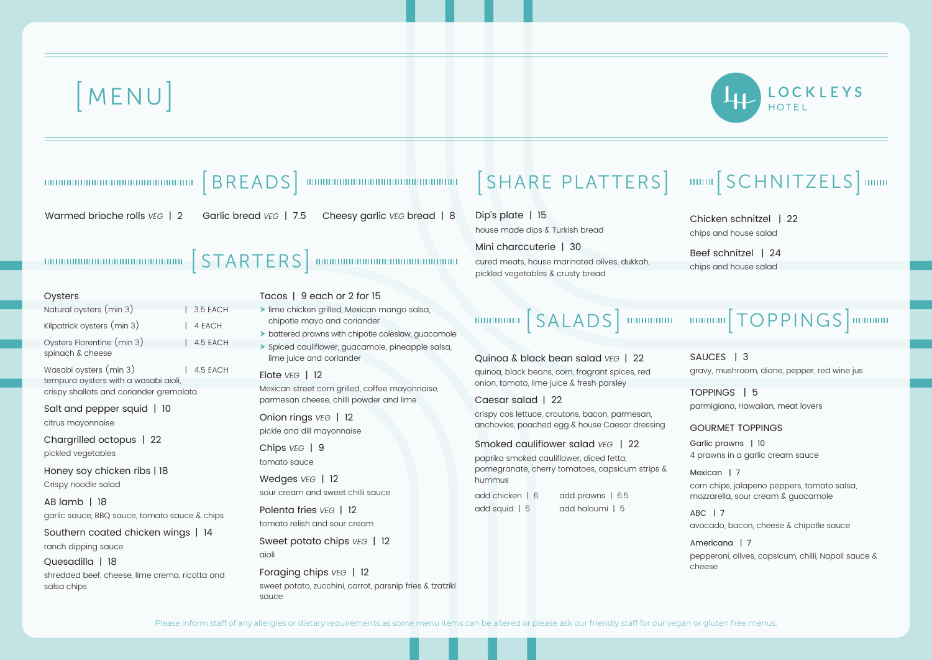

## **m**  $[SCHNITZELS]$  mmm

cken schnitzel | 22 s and house salad

f schnitzel | 24

s and house salad

## **MMM**  $[TOPPINGS]$  **MMMM**

 $ICES$  | 3 y, mushroom, diane, pepper, red wine jus

PINGS | 5 nigiana, Hawaiian, meat lovers

JRMET TOPPINGS

ic prawns | 10 awns in a garlic cream sauce

 $\mathsf{ican}$  | 7 chips, jalapeno peppers, tomato salsa, zarella, sour cream & guacamole

ABC | 7 cado, bacon, cheese & chipotle sauce

 $ricana$  | 7  $\alpha$ eroni, olives, capsicum, chilli, Napoli sauce  $\delta$ ese

# [ MENU]

| 100000000000000000000000000000                                             | BREADS   www.www.www.www.www.www.ww                                                                                                  | SHARE PLATTERS                                                                                              | нии                  |
|----------------------------------------------------------------------------|--------------------------------------------------------------------------------------------------------------------------------------|-------------------------------------------------------------------------------------------------------------|----------------------|
| Warmed brioche rolls $VEG$   2                                             | Garlic bread VEG   7.5<br>Cheesy garlic VEG bread   8                                                                                | Dip's plate   15<br>house made dips & Turkish bread                                                         | Chio<br>chips        |
|                                                                            |                                                                                                                                      | Mini charccuterie   30<br>cured meats, house marinated olives, dukkah,<br>pickled vegetables & crusty bread | <b>Beet</b><br>chips |
| Oysters                                                                    | Tacos   9 each or 2 for 15                                                                                                           |                                                                                                             |                      |
| Natural oysters (min 3)<br>$\vert$ 3.5 EACH                                | > lime chicken grilled, Mexican mango salsa,                                                                                         |                                                                                                             |                      |
| Kilpatrick oysters (min 3)<br>4 EACH                                       | chipotle mayo and coriander                                                                                                          | <b>MUNICIPAL SALADS</b> MUNICIPAL                                                                           | THITI                |
| Oysters Florentine (min 3)<br>$\vert$ 4.5 EACH<br>spinach & cheese         | > battered prawns with chipotle coleslaw, guacamole<br>> Spiced cauliflower, guacamole, pineapple salsa,<br>lime juice and coriander | Quinoa & black bean salad VEG   22                                                                          | SAU                  |
| Wasabi oysters (min 3)<br>4.5 EACH<br>tempura oysters with a wasabi aioli, | Elote VEG   12<br>Mexican street corn grilled, coffee mayonnaise,                                                                    | quinoa, black beans, corn, fragrant spices, red<br>onion, tomato, lime juice & fresh parsley                | grav                 |
| crispy shallots and coriander gremolata                                    | parmesan cheese, chilli powder and lime                                                                                              | Caesar salad   22                                                                                           | <b>TOP</b>           |
| Salt and pepper squid   10<br>citrus mayonnaise                            | Onion rings VEG   12<br>pickle and dill mayonnaise                                                                                   | crispy cos lettuce, croutons, bacon, parmesan,<br>anchovies, poached egg & house Caesar dressing            | parm<br>GOL          |
| Chargrilled octopus   22<br>pickled vegetables                             | Chips VEG   9                                                                                                                        | Smoked cauliflower salad VEG   22<br>paprika smoked cauliflower, diced fetta,                               | Garli<br>4 prc       |
| Honey soy chicken ribs   18<br>Crispy noodle salad                         | tomato sauce<br>Wedges VEG   12                                                                                                      | pomegranate, cherry tomatoes, capsicum strips &<br>hummus                                                   | Mexi<br>corn         |
| $AB$ lamb   18                                                             | sour cream and sweet chilli sauce                                                                                                    | add prawns   6.5<br>add chicken   6                                                                         | mozz                 |
| garlic sauce, BBQ sauce, tomato sauce & chips                              | Polenta fries VEG   12                                                                                                               | add haloumi   5<br>add squid   5                                                                            | ABC                  |
| Southern coated chicken wings   14                                         | tomato relish and sour cream                                                                                                         |                                                                                                             | avoc                 |
| ranch dipping sauce                                                        | Sweet potato chips VEG   12                                                                                                          |                                                                                                             | Ame                  |
| Quesadilla   18                                                            | aioli                                                                                                                                |                                                                                                             | pepp<br>chee         |
| shredded beef, cheese, lime crema, ricotta and<br>salsa chips              | Foraging chips VEG   12<br>sweet potato, zucchini, carrot, parsnip fries & tzatziki<br>sauce                                         |                                                                                                             |                      |